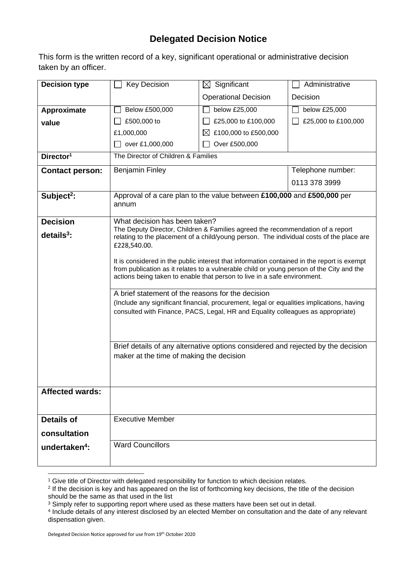## **Delegated Decision Notice**

This form is the written record of a key, significant operational or administrative decision taken by an officer.

| <b>Decision type</b>      | <b>Key Decision</b>                                                                                                                                                                                                                                                                                                                                                                                                                                                                                                                                                                                                                                                                                                                                                                                                                   | $\boxtimes$ Significant           | Administrative      |
|---------------------------|---------------------------------------------------------------------------------------------------------------------------------------------------------------------------------------------------------------------------------------------------------------------------------------------------------------------------------------------------------------------------------------------------------------------------------------------------------------------------------------------------------------------------------------------------------------------------------------------------------------------------------------------------------------------------------------------------------------------------------------------------------------------------------------------------------------------------------------|-----------------------------------|---------------------|
|                           |                                                                                                                                                                                                                                                                                                                                                                                                                                                                                                                                                                                                                                                                                                                                                                                                                                       | <b>Operational Decision</b>       | Decision            |
| Approximate               | Below £500,000                                                                                                                                                                                                                                                                                                                                                                                                                                                                                                                                                                                                                                                                                                                                                                                                                        | below £25,000                     | below £25,000       |
| value                     | £500,000 to                                                                                                                                                                                                                                                                                                                                                                                                                                                                                                                                                                                                                                                                                                                                                                                                                           | £25,000 to £100,000               | £25,000 to £100,000 |
|                           | £1,000,000                                                                                                                                                                                                                                                                                                                                                                                                                                                                                                                                                                                                                                                                                                                                                                                                                            | £100,000 to £500,000<br>$\bowtie$ |                     |
|                           | over £1,000,000                                                                                                                                                                                                                                                                                                                                                                                                                                                                                                                                                                                                                                                                                                                                                                                                                       | Over £500,000                     |                     |
| Director <sup>1</sup>     | The Director of Children & Families                                                                                                                                                                                                                                                                                                                                                                                                                                                                                                                                                                                                                                                                                                                                                                                                   |                                   |                     |
| <b>Contact person:</b>    | <b>Benjamin Finley</b>                                                                                                                                                                                                                                                                                                                                                                                                                                                                                                                                                                                                                                                                                                                                                                                                                |                                   | Telephone number:   |
|                           |                                                                                                                                                                                                                                                                                                                                                                                                                                                                                                                                                                                                                                                                                                                                                                                                                                       |                                   | 0113 378 3999       |
| Subject <sup>2</sup> :    | Approval of a care plan to the value between £100,000 and £500,000 per<br>annum                                                                                                                                                                                                                                                                                                                                                                                                                                                                                                                                                                                                                                                                                                                                                       |                                   |                     |
| <b>Decision</b>           | What decision has been taken?                                                                                                                                                                                                                                                                                                                                                                                                                                                                                                                                                                                                                                                                                                                                                                                                         |                                   |                     |
| $details3$ :              | The Deputy Director, Children & Families agreed the recommendation of a report<br>relating to the placement of a child/young person. The individual costs of the place are<br>£228,540.00.<br>It is considered in the public interest that information contained in the report is exempt<br>from publication as it relates to a vulnerable child or young person of the City and the<br>actions being taken to enable that person to live in a safe environment.<br>A brief statement of the reasons for the decision<br>(Include any significant financial, procurement, legal or equalities implications, having<br>consulted with Finance, PACS, Legal, HR and Equality colleagues as appropriate)<br>Brief details of any alternative options considered and rejected by the decision<br>maker at the time of making the decision |                                   |                     |
| <b>Affected wards:</b>    |                                                                                                                                                                                                                                                                                                                                                                                                                                                                                                                                                                                                                                                                                                                                                                                                                                       |                                   |                     |
|                           |                                                                                                                                                                                                                                                                                                                                                                                                                                                                                                                                                                                                                                                                                                                                                                                                                                       |                                   |                     |
| <b>Details of</b>         | <b>Executive Member</b>                                                                                                                                                                                                                                                                                                                                                                                                                                                                                                                                                                                                                                                                                                                                                                                                               |                                   |                     |
| consultation              |                                                                                                                                                                                                                                                                                                                                                                                                                                                                                                                                                                                                                                                                                                                                                                                                                                       |                                   |                     |
| undertaken <sup>4</sup> : | <b>Ward Councillors</b>                                                                                                                                                                                                                                                                                                                                                                                                                                                                                                                                                                                                                                                                                                                                                                                                               |                                   |                     |

<sup>&</sup>lt;sup>1</sup> Give title of Director with delegated responsibility for function to which decision relates.

<sup>2</sup> If the decision is key and has appeared on the list of forthcoming key decisions, the title of the decision should be the same as that used in the list

<sup>&</sup>lt;sup>3</sup> Simply refer to supporting report where used as these matters have been set out in detail.

<sup>4</sup> Include details of any interest disclosed by an elected Member on consultation and the date of any relevant dispensation given.